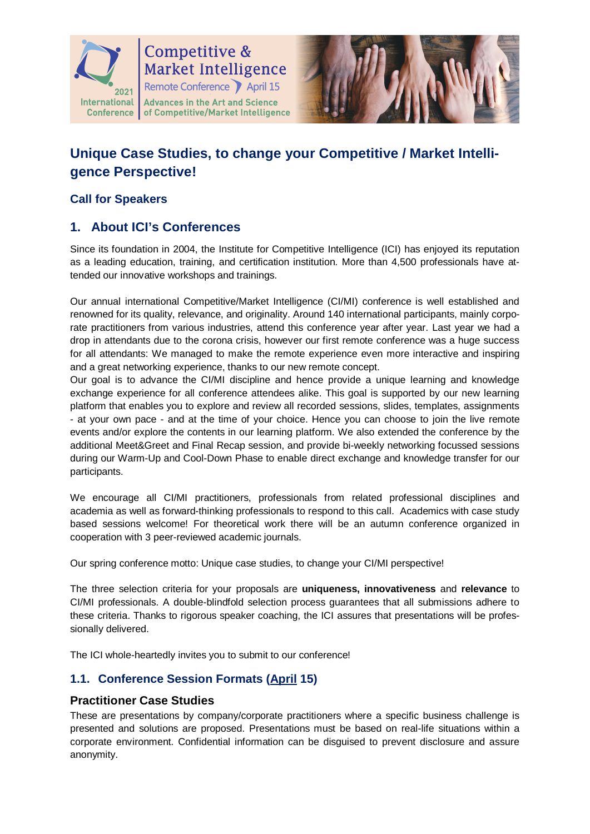

# **Competitive & Market Intelligence** Remote Conference April 15 International | Advances in the Art and Science



# **Unique Case Studies, to change your Competitive / Market Intelligence Perspective!**

## **Call for Speakers**

# **1. About ICI's Conferences**

Since its foundation in 2004, the Institute for Competitive Intelligence (ICI) has enjoyed its reputation as a leading education, training, and certification institution. More than 4,500 professionals have attended our innovative workshops and trainings.

Our annual international Competitive/Market Intelligence (CI/MI) conference is well established and renowned for its quality, relevance, and originality. Around 140 international participants, mainly corporate practitioners from various industries, attend this conference year after year. Last year we had a drop in attendants due to the corona crisis, however our first remote conference was a huge success for all attendants: We managed to make the remote experience even more interactive and inspiring and a great networking experience, thanks to our new remote concept.

Our goal is to advance the CI/MI discipline and hence provide a unique learning and knowledge exchange experience for all conference attendees alike. This goal is supported by our new learning platform that enables you to explore and review all recorded sessions, slides, templates, assignments - at your own pace - and at the time of your choice. Hence you can choose to join the live remote events and/or explore the contents in our learning platform. We also extended the conference by the additional Meet&Greet and Final Recap session, and provide bi-weekly networking focussed sessions during our Warm-Up and Cool-Down Phase to enable direct exchange and knowledge transfer for our participants.

We encourage all CI/MI practitioners, professionals from related professional disciplines and academia as well as forward-thinking professionals to respond to this call. Academics with case study based sessions welcome! For theoretical work there will be an autumn conference organized in cooperation with 3 peer-reviewed academic journals.

Our spring conference motto: Unique case studies, to change your CI/MI perspective!

The three selection criteria for your proposals are **uniqueness, innovativeness** and **relevance** to CI/MI professionals. A double-blindfold selection process guarantees that all submissions adhere to these criteria. Thanks to rigorous speaker coaching, the ICI assures that presentations will be professionally delivered.

The ICI whole-heartedly invites you to submit to our conference!

### **1.1. Conference Session Formats (April 15)**

#### **Practitioner Case Studies**

These are presentations by company/corporate practitioners where a specific business challenge is presented and solutions are proposed. Presentations must be based on real-life situations within a corporate environment. Confidential information can be disguised to prevent disclosure and assure anonymity.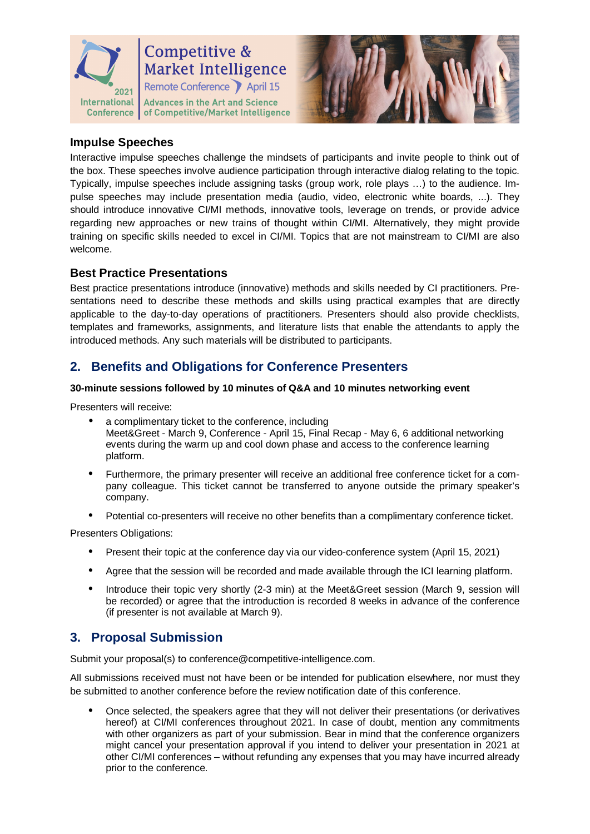

# **Competitive & Market Intelligence** Remote Conference April 15

International | Advances in the Art and Science Conference | of Competitive/Market Intelligence



#### **Impulse Speeches**

Interactive impulse speeches challenge the mindsets of participants and invite people to think out of the box. These speeches involve audience participation through interactive dialog relating to the topic. Typically, impulse speeches include assigning tasks (group work, role plays …) to the audience. Impulse speeches may include presentation media (audio, video, electronic white boards, ...). They should introduce innovative CI/MI methods, innovative tools, leverage on trends, or provide advice regarding new approaches or new trains of thought within CI/MI. Alternatively, they might provide training on specific skills needed to excel in CI/MI. Topics that are not mainstream to CI/MI are also welcome.

#### **Best Practice Presentations**

Best practice presentations introduce (innovative) methods and skills needed by CI practitioners. Presentations need to describe these methods and skills using practical examples that are directly applicable to the day-to-day operations of practitioners. Presenters should also provide checklists, templates and frameworks, assignments, and literature lists that enable the attendants to apply the introduced methods. Any such materials will be distributed to participants.

# **2. Benefits and Obligations for Conference Presenters**

#### **30-minute sessions followed by 10 minutes of Q&A and 10 minutes networking event**

Presenters will receive:

- a complimentary ticket to the conference, including Meet&Greet - March 9, Conference - April 15, Final Recap - May 6, 6 additional networking events during the warm up and cool down phase and access to the conference learning platform.
- Furthermore, the primary presenter will receive an additional free conference ticket for a company colleague. This ticket cannot be transferred to anyone outside the primary speaker's company.
- Potential co-presenters will receive no other benefits than a complimentary conference ticket.

Presenters Obligations:

- Present their topic at the conference day via our video-conference system (April 15, 2021)
- Agree that the session will be recorded and made available through the ICI learning platform.
- Introduce their topic very shortly (2-3 min) at the Meet&Greet session (March 9, session will be recorded) or agree that the introduction is recorded 8 weeks in advance of the conference (if presenter is not available at March 9).

# **3. Proposal Submission**

Submit your proposal(s) to conference@competitive-intelligence.com.

All submissions received must not have been or be intended for publication elsewhere, nor must they be submitted to another conference before the review notification date of this conference.

 Once selected, the speakers agree that they will not deliver their presentations (or derivatives hereof) at CI/MI conferences throughout 2021. In case of doubt, mention any commitments with other organizers as part of your submission. Bear in mind that the conference organizers might cancel your presentation approval if you intend to deliver your presentation in 2021 at other CI/MI conferences – without refunding any expenses that you may have incurred already prior to the conference.